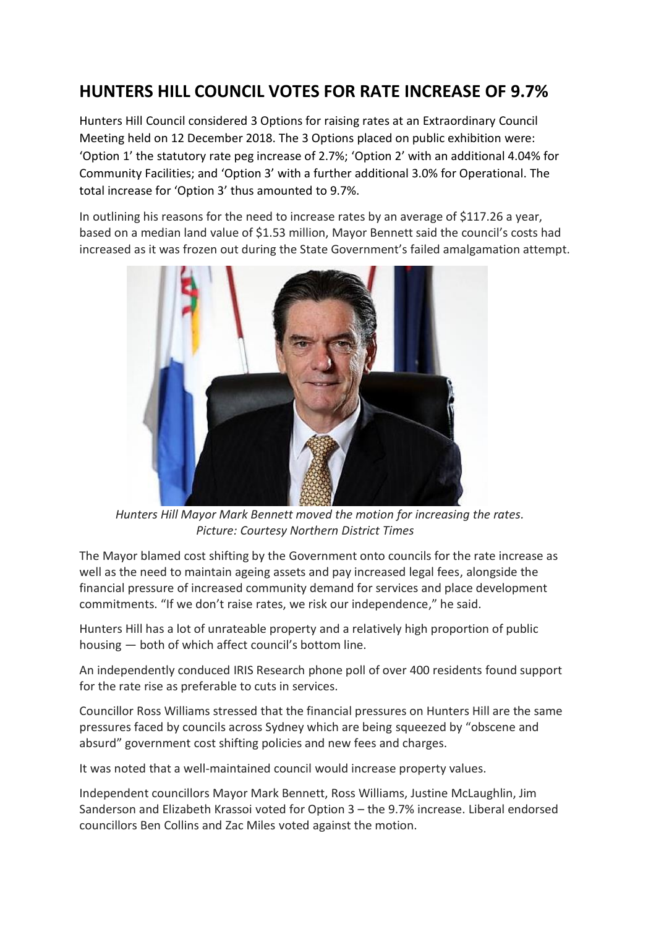## **HUNTERS HILL COUNCIL VOTES FOR RATE INCREASE OF 9.7%**

Hunters Hill Council considered 3 Options for raising rates at an Extraordinary Council Meeting held on 12 December 2018. The 3 Options placed on public exhibition were: 'Option 1' the statutory rate peg increase of 2.7%; 'Option 2' with an additional 4.04% for Community Facilities; and 'Option 3' with a further additional 3.0% for Operational. The total increase for 'Option 3' thus amounted to 9.7%.

In outlining his reasons for the need to increase rates by an average of \$117.26 a year, based on a median land value of \$1.53 million, Mayor Bennett said the council's costs had increased as it was frozen out during the State Government's failed amalgamation attempt.



 *Hunters Hill Mayor Mark Bennett moved the motion for increasing the rates. Picture: Courtesy Northern District Times*

The Mayor blamed cost shifting by the Government onto councils for the rate increase as well as the need to maintain ageing assets and pay increased legal fees, alongside the financial pressure of increased community demand for services and place development commitments. "If we don't raise rates, we risk our independence," he said.

Hunters Hill has a lot of unrateable property and a relatively high proportion of public housing — both of which affect council's bottom line.

An independently conduced IRIS Research phone poll of over 400 residents found support for the rate rise as preferable to cuts in services.

Councillor Ross Williams stressed that the financial pressures on Hunters Hill are the same pressures faced by councils across Sydney which are being squeezed by "obscene and absurd" government cost shifting policies and new fees and charges.

It was noted that a well-maintained council would increase property values.

Independent councillors Mayor Mark Bennett, Ross Williams, Justine McLaughlin, Jim Sanderson and Elizabeth Krassoi voted for Option 3 – the 9.7% increase. Liberal endorsed councillors Ben Collins and Zac Miles voted against the motion.